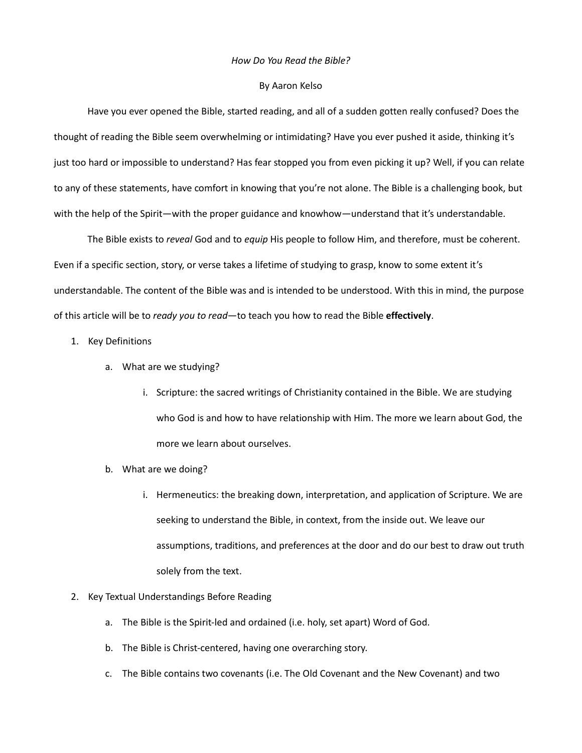#### *How Do You Read the Bible?*

#### By Aaron Kelso

Have you ever opened the Bible, started reading, and all of a sudden gotten really confused? Does the thought of reading the Bible seem overwhelming or intimidating? Have you ever pushed it aside, thinking it's just too hard or impossible to understand? Has fear stopped you from even picking it up? Well, if you can relate to any of these statements, have comfort in knowing that you're not alone. The Bible is a challenging book, but with the help of the Spirit—with the proper guidance and knowhow—understand that it's understandable.

The Bible exists to *reveal* God and to *equip* His people to follow Him, and therefore, must be coherent. Even if a specific section, story, or verse takes a lifetime of studying to grasp, know to some extent it's understandable. The content of the Bible was and is intended to be understood. With this in mind, the purpose of this article will be to *ready you to read*—to teach you how to read the Bible **effectively**.

- 1. Key Definitions
	- a. What are we studying?
		- i. Scripture: the sacred writings of Christianity contained in the Bible. We are studying who God is and how to have relationship with Him. The more we learn about God, the more we learn about ourselves.
	- b. What are we doing?
		- i. Hermeneutics: the breaking down, interpretation, and application of Scripture. We are seeking to understand the Bible, in context, from the inside out. We leave our assumptions, traditions, and preferences at the door and do our best to draw out truth solely from the text.
- 2. Key Textual Understandings Before Reading
	- a. The Bible is the Spirit-led and ordained (i.e. holy, set apart) Word of God.
	- b. The Bible is Christ-centered, having one overarching story.
	- c. The Bible contains two covenants (i.e. The Old Covenant and the New Covenant) and two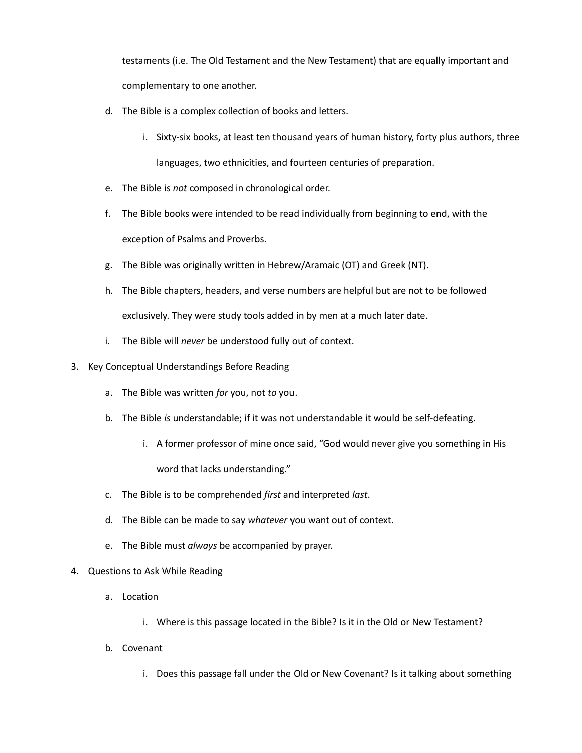testaments (i.e. The Old Testament and the New Testament) that are equally important and complementary to one another.

- d. The Bible is a complex collection of books and letters.
	- i. Sixty-six books, at least ten thousand years of human history, forty plus authors, three languages, two ethnicities, and fourteen centuries of preparation.
- e. The Bible is *not* composed in chronological order.
- f. The Bible books were intended to be read individually from beginning to end, with the exception of Psalms and Proverbs.
- g. The Bible was originally written in Hebrew/Aramaic (OT) and Greek (NT).
- h. The Bible chapters, headers, and verse numbers are helpful but are not to be followed exclusively. They were study tools added in by men at a much later date.
- i. The Bible will *never* be understood fully out of context.
- 3. Key Conceptual Understandings Before Reading
	- a. The Bible was written *for* you, not *to* you.
	- b. The Bible *is* understandable; if it was not understandable it would be self-defeating.
		- i. A former professor of mine once said, "God would never give you something in His word that lacks understanding."
	- c. The Bible is to be comprehended *first* and interpreted *last*.
	- d. The Bible can be made to say *whatever* you want out of context.
	- e. The Bible must *always* be accompanied by prayer.
- 4. Questions to Ask While Reading
	- a. Location
		- i. Where is this passage located in the Bible? Is it in the Old or New Testament?
	- b. Covenant
		- i. Does this passage fall under the Old or New Covenant? Is it talking about something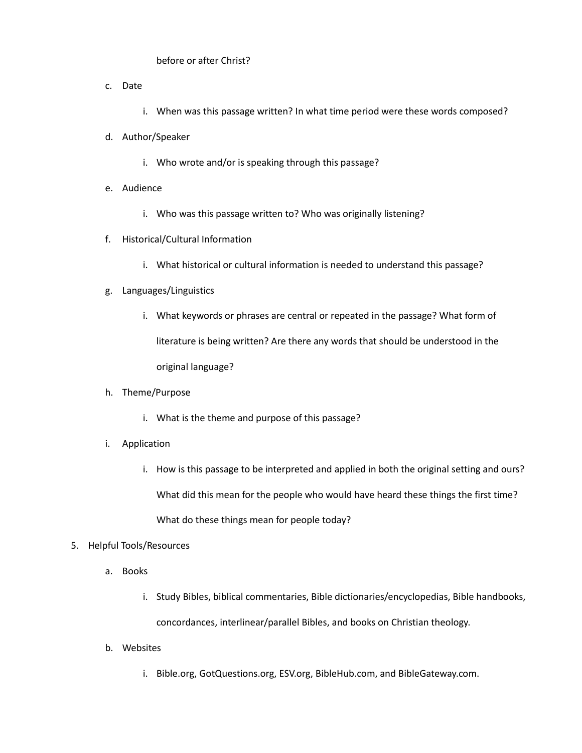# before or after Christ?

- c. Date
	- i. When was this passage written? In what time period were these words composed?
- d. Author/Speaker
	- i. Who wrote and/or is speaking through this passage?
- e. Audience
	- i. Who was this passage written to? Who was originally listening?
- f. Historical/Cultural Information
	- i. What historical or cultural information is needed to understand this passage?
- g. Languages/Linguistics
	- i. What keywords or phrases are central or repeated in the passage? What form of literature is being written? Are there any words that should be understood in the original language?
- h. Theme/Purpose
	- i. What is the theme and purpose of this passage?
- i. Application
	- i. How is this passage to be interpreted and applied in both the original setting and ours? What did this mean for the people who would have heard these things the first time? What do these things mean for people today?

# 5. Helpful Tools/Resources

- a. Books
	- i. Study Bibles, biblical commentaries, Bible dictionaries/encyclopedias, Bible handbooks, concordances, interlinear/parallel Bibles, and books on Christian theology.
- b. Websites
	- i. Bible.org, GotQuestions.org, ESV.org, BibleHub.com, and BibleGateway.com.